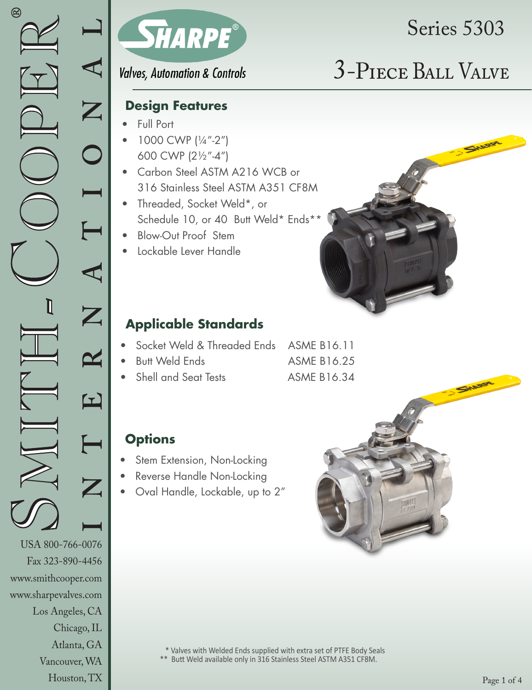www.smithcooper.com www.sharpevalves.com

Los Angeles, CA

Chicago, IL Atlanta, GA Vancouver, WA Houston, TX



## **Valves, Automation & Controls**

# Series 5303

# 3-Piece Ball Valve

### **Design Features**

- Full Port
- 1000 CWP (1/4"-2") 600 CWP (21/2"-4")
- Carbon Steel ASTM A216 WCB or 316 Stainless Steel ASTM A351 CF8M
- Threaded, Socket Weld\*, or Schedule 10, or 40 Butt Weld\* Ends\*\*
- Blow-Out Proof Stem
- Lockable Lever Handle

## **Applicable Standards**

- Socket Weld & Threaded Ends ASME B16.11
- **Butt Weld Ends ASME B16.25** 
	- Shell and Seat Tests ASME B16.34



- Stem Extension, Non-Locking
- Reverse Handle Non-Locking
- Oval Handle, Lockable, up to 2"

 \* Valves with Welded Ends supplied with extra set of PTFE Body Seals \*\* Butt Weld available only in 316 Stainless Steel ASTM A351 CF8M.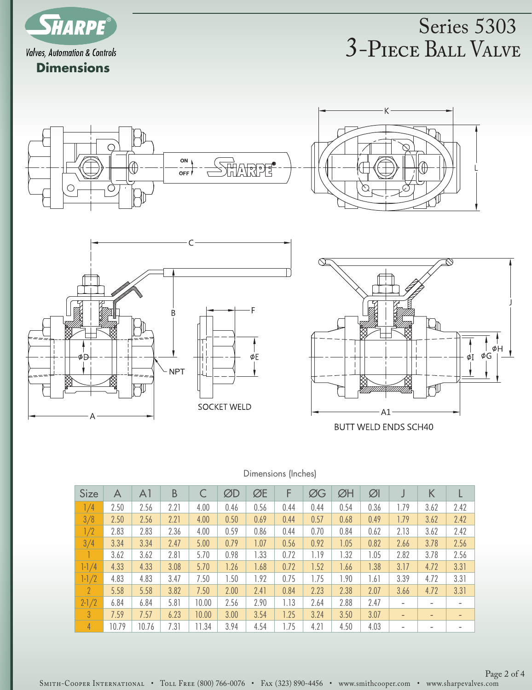

## 3-Piece Ball Valve Series 5303

 $\overline{\mathbb{Z}}$ 







**BUTT WELD ENDS SCH40** 

#### Dimensions (Inches)

| <b>Size</b>   | A     | A1    | B    |       | ØD   | ØE   | F    | ØG   | ØH   | $\varnothing$ |                          | K                            |      |
|---------------|-------|-------|------|-------|------|------|------|------|------|---------------|--------------------------|------------------------------|------|
| 1/4           | 2.50  | 2.56  | 2.21 | 4.00  | 0.46 | 0.56 | 0.44 | 0.44 | 0.54 | 0.36          | .79                      | 3.62                         | 2.42 |
| 3/8           | 2.50  | 2.56  | 2.21 | 4.00  | 0.50 | 0.69 | 0.44 | 0.57 | 0.68 | 0.49          | 1.79                     | 3.62                         | 2.42 |
| 1/2           | 2.83  | 2.83  | 2.36 | 4.00  | 0.59 | 0.86 | 0.44 | 0.70 | 0.84 | 0.62          | 2.13                     | 3.62                         | 2.42 |
| 3/4           | 3.34  | 3.34  | 2.47 | 5.00  | 0.79 | 1.07 | 0.56 | 0.92 | 1.05 | 0.82          | 2.66                     | 3.78                         | 2.56 |
|               | 3.62  | 3.62  | 2.81 | 5.70  | 0.98 | 1.33 | 0.72 | 1.19 | 1.32 | 1.05          | 2.82                     | 3.78                         | 2.56 |
| $1 - 1/4$     | 4.33  | 4.33  | 3.08 | 5.70  | 1.26 | 1.68 | 0.72 | 1.52 | 1.66 | 1.38          | 3.17                     | 4.72                         | 3.31 |
| $1 - 1/2$     | 4.83  | 4.83  | 3.47 | 7.50  | 1.50 | 1.92 | 0.75 | 1.75 | 1.90 | 1.61          | 3.39                     | 4.72                         | 3.31 |
| $\mathcal{P}$ | 5.58  | 5.58  | 3.82 | 7.50  | 2.00 | 2.41 | 0.84 | 2.23 | 2.38 | 2.07          | 3.66                     | 4.72                         | 3.31 |
| $2 - 1/2$     | 6.84  | 6.84  | 5.81 | 10.00 | 2.56 | 2.90 | 1.13 | 2.64 | 2.88 | 2.47          | $\overline{\phantom{a}}$ |                              |      |
| 3             | 7.59  | 7.57  | 6.23 | 10.00 | 3.00 | 3.54 | 1.25 | 3.24 | 3.50 | 3.07          | $\overline{\phantom{a}}$ | $\qquad \qquad \blacksquare$ |      |
| 4             | 10.79 | 10.76 | 7.31 | 11.34 | 3.94 | 4.54 | 1.75 | 4.21 | 4.50 | 4.03          | $\overline{\phantom{a}}$ |                              |      |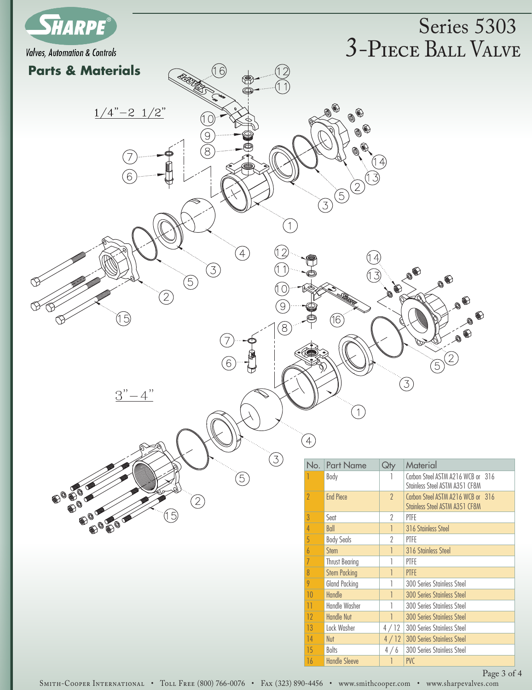

## 3-Piece Ball Valve Series 5303



Page 3 of 4